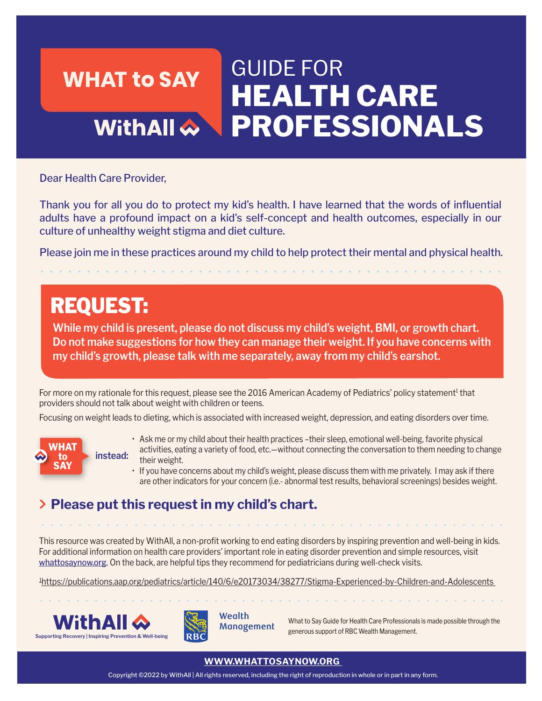# GUIDE FOR **WHAT to SAY HEALTH CARE PROFESSIONALS** WithAll <

Dear Health Care Provider,

Thank you for all you do to protect my kid's health. I have learned that the words of influential adults have a profound impact on a kid's self-concept and health outcomes, especially in our culture of unhealthy weight stigma and diet culture.

Please join me in these practices around my child to help protect their mental and physical health.

# REQUEST:

**While my child is present, please do not discuss my child's weight, BMI, or growth chart. Do not make suggestions for how they can manage their weight. If you have concerns with my child's growth, please talk with me separately, away from my child's earshot.**

For more on my rationale for this request, please see the 2016 American Academy of Pediatrics' policy statement<sup>1</sup> that providers should not talk about weight with children or teens.

Focusing on weight leads to dieting, which is associated with increased weight, depression, and eating disorders over time.



- Ask me or my child about their health practices –their sleep, emotional well-being, favorite physical activities, eating a variety of food, etc.—without connecting the conversation to them needing to change their weight.
- If you have concerns about my child's weight, please discuss them with me privately. I may ask if there are other indicators for your concern (i.e.- abnormal test results, behavioral screenings) besides weight.

## **Please put this request in my child's chart.**

This resource was created by WithAll, a non-profit working to end eating disorders by inspiring prevention and well-being in kids. For additional information on health care providers' important role in eating disorder prevention and simple resources, visit [whattosaynow.org.](https://www.whattosaynow.org) On the back, are helpful tips they recommend for pediatricians during well-check visits.

1 <https://publications.aap.org/pediatrics/article/140/6/e20173034/38277/Stigma-Experienced-by-Children-and-Adolescents>





Wealth

What to Say Guide for Health Care Professionals is made possible through the

#### **[WWW.WHATTOSAYNOW.ORG](https://www.whattosaynow.org)**

Copyright ©2022 by WithAll | All rights reserved, including the right of reproduction in whole or in part in any form.